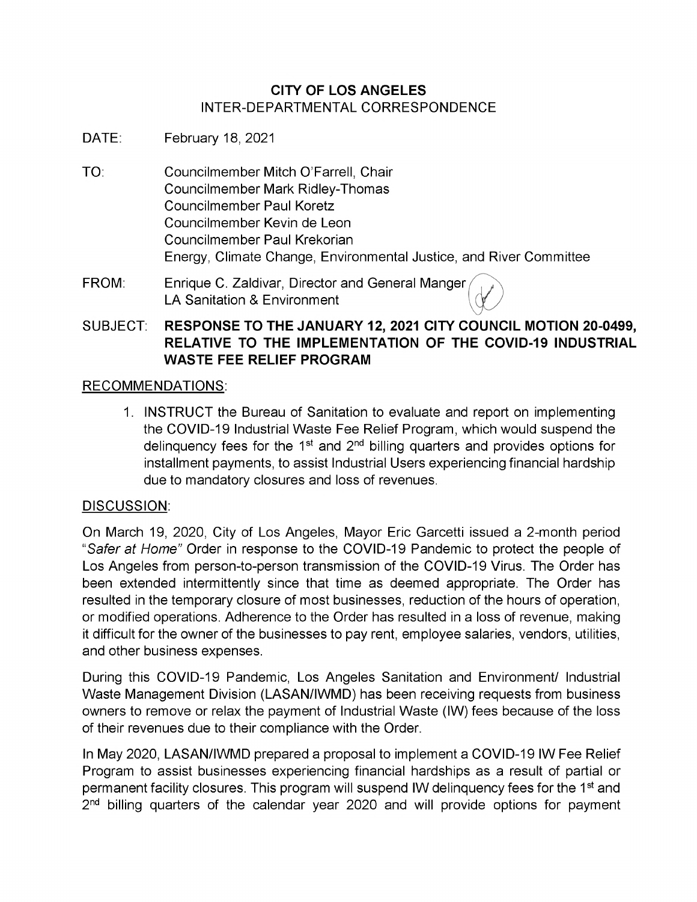# **CITY OF LOS ANGELES** INTER-DEPARTMENTAL CORRESPONDENCE

- DATE: February 18, 2021
- TO: Councilmember Mitch O'Farrell, Chair Councilmember Mark Ridley-Thomas Councilmember Paul Koretz Councilmember Kevin de Leon Councilmember Paul Krekorian Energy, Climate Change, Environmental Justice, and River Committee
- Enrique C. Zaldivar, Director and General Manger LA Sanitation & Environment FROM:

# SUBJECT: **RESPONSE TO THE JANUARY 12, 2021 CITY COUNCIL MOTION 20-0499, RELATIVE TO THE IMPLEMENTATION OF THE COVID-19 INDUSTRIAL WASTE FEE RELIEF PROGRAM**

# RECOMMENDATIONS:

1. INSTRUCT the Bureau of Sanitation to evaluate and report on implementing the COVID-19 Industrial Waste Fee Relief Program, which would suspend the delinquency fees for the  $1<sup>st</sup>$  and  $2<sup>nd</sup>$  billing quarters and provides options for installment payments, to assist Industrial Users experiencing financial hardship due to mandatory closures and loss of revenues.

# DISCUSSION:

On March 19, 2020, City of Los Angeles, Mayor Eric Garcetti issued a 2-month period *"Safer at Home"* Order in response to the COVID-19 Pandemic to protect the people of Los Angeles from person-to-person transmission of the COVID-19 Virus. The Order has been extended intermittently since that time as deemed appropriate. The Order has resulted in the temporary closure of most businesses, reduction of the hours of operation, or modified operations. Adherence to the Order has resulted in a loss of revenue, making it difficult for the owner of the businesses to pay rent, employee salaries, vendors, utilities, and other business expenses.

During this COVID-19 Pandemic, Los Angeles Sanitation and Environment/ Industrial Waste Management Division (LASAN/IWMD) has been receiving requests from business owners to remove or relax the payment of Industrial Waste (IW) fees because of the loss of their revenues due to their compliance with the Order.

In May 2020, LASAN/IWMD prepared a proposal to implement a COVID-19 IW Fee Relief Program to assist businesses experiencing financial hardships as a result of partial or permanent facility closures. This program will suspend IW delinquency fees for the 1<sup>st</sup> and 2<sup>nd</sup> billing quarters of the calendar year 2020 and will provide options for payment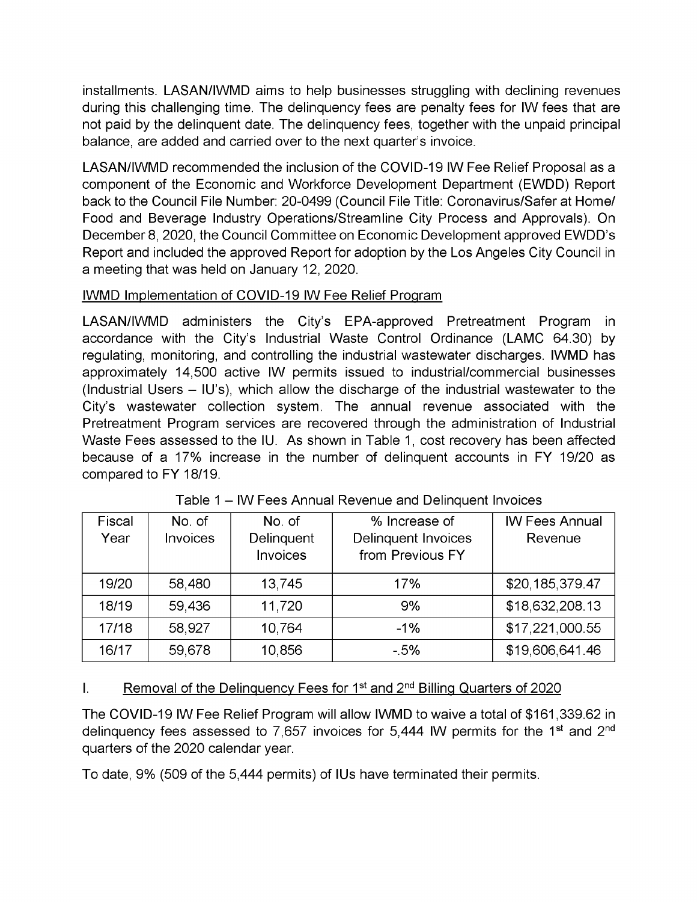installments. LASAN/IWMD aims to help businesses struggling with declining revenues during this challenging time. The delinquency fees are penalty fees for IW fees that are not paid by the delinquent date. The delinquency fees, together with the unpaid principal balance, are added and carried over to the next quarter's invoice.

LASAN/IWMD recommended the inclusion of the COVID-19 IW Fee Relief Proposal as a component of the Economic and Workforce Development Department (EWDD) Report back to the Council File Number: 20-0499 (Council File Title: Coronavirus/Safer at Home/ Food and Beverage Industry Operations/Streamline City Process and Approvals). On December 8, 2020, the Council Committee on Economic Development approved EWDD's Report and included the approved Report for adoption by the Los Angeles City Council in a meeting that was held on January 12, 2020.

# IWMD Implementation of COVID-19 IW Fee Relief Program

LASAN/IWMD administers the City's EPA-approved Pretreatment Program in accordance with the City's Industrial Waste Control Ordinance (LAMC 64.30) by regulating, monitoring, and controlling the industrial wastewater discharges. IWMD has approximately 14,500 active IW permits issued to industrial/commercial businesses (Industrial Users  $-$  IU's), which allow the discharge of the industrial wastewater to the City's wastewater collection system. The annual revenue associated with the Pretreatment Program services are recovered through the administration of Industrial Waste Fees assessed to the IU. As shown in Table 1, cost recovery has been affected because of a 17% increase in the number of delinquent accounts in FY 19/20 as compared to FY 18/19.

| Fiscal<br>Year | No. of<br><b>Invoices</b> | No. of<br>Delinquent<br>Invoices | % Increase of<br><b>Delinquent Invoices</b><br>from Previous FY | <b>IW Fees Annual</b><br>Revenue |
|----------------|---------------------------|----------------------------------|-----------------------------------------------------------------|----------------------------------|
| 19/20          | 58,480                    | 13,745                           | 17%                                                             | \$20,185,379.47                  |
| 18/19          | 59,436                    | 11,720                           | 9%                                                              | \$18,632,208.13                  |
| 17/18          | 58,927                    | 10,764                           | $-1%$                                                           | \$17,221,000.55                  |
| 16/17          | 59,678                    | 10,856                           | $-5%$                                                           | \$19,606,641.46                  |

| Table 1 – IW Fees Annual Revenue and Delinquent Invoices |
|----------------------------------------------------------|
|----------------------------------------------------------|

#### Removal of the Delinquency Fees for 1<sup>st</sup> and 2<sup>nd</sup> Billing Quarters of 2020 I.

The COVID-19 IW Fee Relief Program will allow IWMD to waive a total of \$161,339.62 in delinquency fees assessed to 7,657 invoices for 5,444 IW permits for the 1<sup>st</sup> and 2<sup>nd</sup> quarters of the 2020 calendar year.

To date, 9% (509 of the 5,444 permits) of IUs have terminated their permits.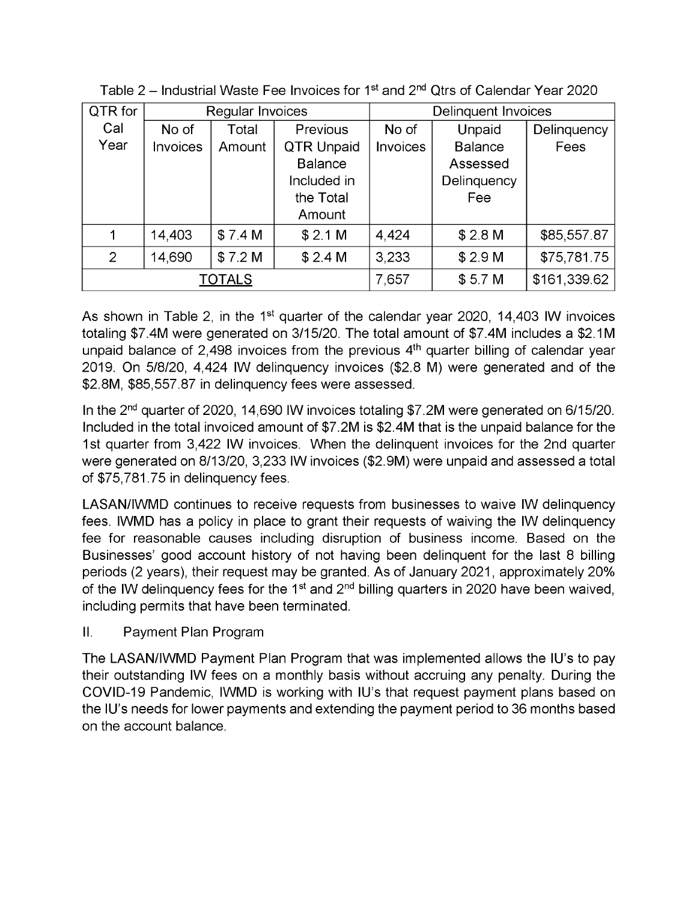| QTR for        | Regular Invoices |         |                   | <b>Delinquent Invoices</b> |                    |             |
|----------------|------------------|---------|-------------------|----------------------------|--------------------|-------------|
| Cal            | No of            | Total   | Previous          | No of                      | Unpaid             | Delinquency |
| Year           | <b>Invoices</b>  | Amount  | <b>QTR Unpaid</b> | <b>Invoices</b>            | <b>Balance</b>     | Fees        |
|                |                  |         | <b>Balance</b>    |                            | Assessed           |             |
|                |                  |         | Included in       |                            | Delinquency        |             |
|                |                  |         | the Total         |                            | Fee                |             |
|                |                  |         | Amount            |                            |                    |             |
| 1              | 14,403           | \$7.4 M | \$2.1 M           | 4,424                      | \$2.8 M            | \$85,557.87 |
| $\overline{2}$ | 14,690           | \$7.2 M | \$2.4 M           | 3,233                      | \$2.9 <sub>M</sub> | \$75,781.75 |
| <b>TOTALS</b>  |                  |         | 7,657             | \$5.7 <sub>M</sub>         | \$161,339.62       |             |

| Table 2 – Industrial Waste Fee Invoices for 1 <sup>st</sup> and 2 <sup>nd</sup> Qtrs of Calendar Year 2020 |  |  |
|------------------------------------------------------------------------------------------------------------|--|--|
|                                                                                                            |  |  |

As shown in Table 2, in the 1<sup>st</sup> quarter of the calendar year 2020, 14,403 IW invoices totaling \$7.4M were generated on 3/15/20. The total amount of \$7.4M includes a \$2.1M unpaid balance of 2,498 invoices from the previous  $4<sup>th</sup>$  quarter billing of calendar year 2019. On 5/8/20, 4,424 IW delinquency invoices (\$2.8 M) were generated and of the \$2.8M, \$85,557.87 in delinquency fees were assessed.

In the 2nd quarter of 2020, 14,690 IW invoices totaling \$7.2M were generated on 6/15/20. Included in the total invoiced amount of \$7.2M is \$2.4M that is the unpaid balance for the 1st quarter from 3,422 IW invoices. When the delinquent invoices for the 2nd quarter were generated on 8/13/20, 3,233 IW invoices (\$2.9M) were unpaid and assessed a total of \$75,781.75 in delinquency fees.

LASAN/IWMD continues to receive requests from businesses to waive IW delinquency fees. IWMD has a policy in place to grant their requests of waiving the IW delinquency fee for reasonable causes including disruption of business income. Based on the Businesses' good account history of not having been delinquent for the last 8 billing periods (2 years), their request may be granted. As of January 2021, approximately 20% of the IW delinguency fees for the  $1<sup>st</sup>$  and  $2<sup>nd</sup>$  billing quarters in 2020 have been waived, including permits that have been terminated.

Payment Plan Program II.

The LASAN/IWMD Payment Plan Program that was implemented allows the IU's to pay their outstanding IW fees on a monthly basis without accruing any penalty. During the COVID-19 Pandemic, IWMD is working with IU's that request payment plans based on the IU's needs for lower payments and extending the payment period to 36 months based on the account balance.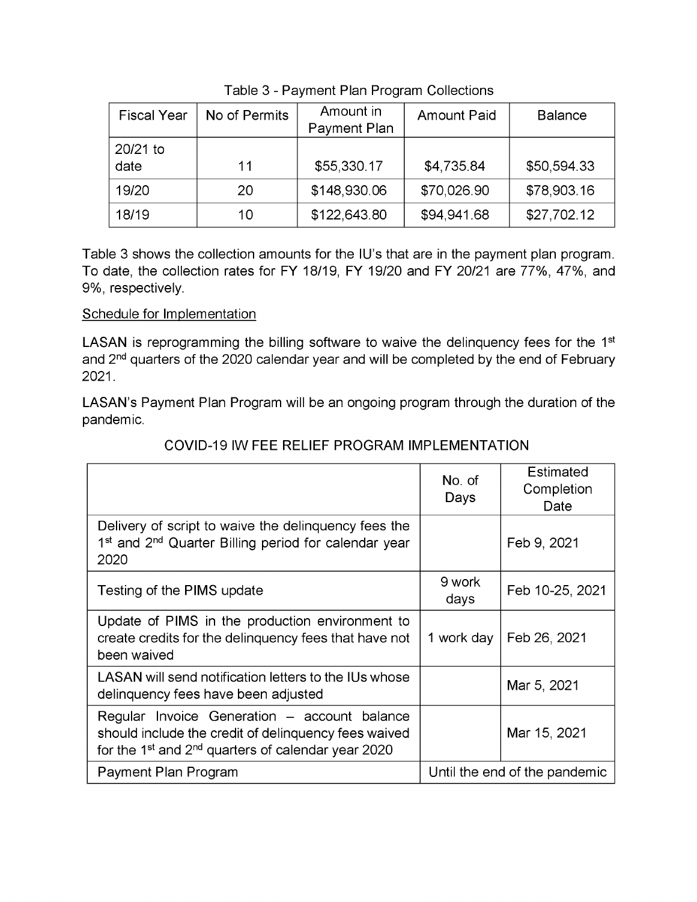| <b>Fiscal Year</b> | No of Permits | Amount in<br>Payment Plan | <b>Amount Paid</b> | <b>Balance</b> |
|--------------------|---------------|---------------------------|--------------------|----------------|
| 20/21 to<br>date   | 11            | \$55,330.17               | \$4,735.84         | \$50,594.33    |
| 19/20              | 20            | \$148,930.06              | \$70,026.90        | \$78,903.16    |
| 18/19              | 10            | \$122,643.80              | \$94,941.68        | \$27,702.12    |

Table 3 - Payment Plan Program Collections

Table 3 shows the collection amounts for the IU's that are in the payment plan program. To date, the collection rates for FY 18/19, FY 19/20 and FY 20/21 are 77%, 47%, and 9%, respectively.

# Schedule for Implementation

LASAN is reprogramming the billing software to waive the delinquency fees for the 1<sup>st</sup> and 2<sup>nd</sup> quarters of the 2020 calendar year and will be completed by the end of February 2021.

LASAN's Payment Plan Program will be an ongoing program through the duration of the pandemic.

|                                                                                                                                                                                    | No. of<br>Days                | Estimated<br>Completion<br>Date |
|------------------------------------------------------------------------------------------------------------------------------------------------------------------------------------|-------------------------------|---------------------------------|
| Delivery of script to waive the delinguency fees the<br>1 <sup>st</sup> and 2 <sup>nd</sup> Quarter Billing period for calendar year<br>2020                                       |                               | Feb 9, 2021                     |
| Testing of the PIMS update                                                                                                                                                         | 9 work<br>days                | Feb 10-25, 2021                 |
| Update of PIMS in the production environment to<br>create credits for the delinguency fees that have not<br>been waived                                                            | 1 work day                    | Feb 26, 2021                    |
| LASAN will send notification letters to the IUs whose<br>delinquency fees have been adjusted                                                                                       |                               | Mar 5, 2021                     |
| Regular Invoice Generation – account balance<br>should include the credit of delinquency fees waived<br>for the 1 <sup>st</sup> and 2 <sup>nd</sup> quarters of calendar year 2020 |                               | Mar 15, 2021                    |
| Payment Plan Program                                                                                                                                                               | Until the end of the pandemic |                                 |

## COVID-19 IW FEE RELIEF PROGRAM IMPLEMENTATION